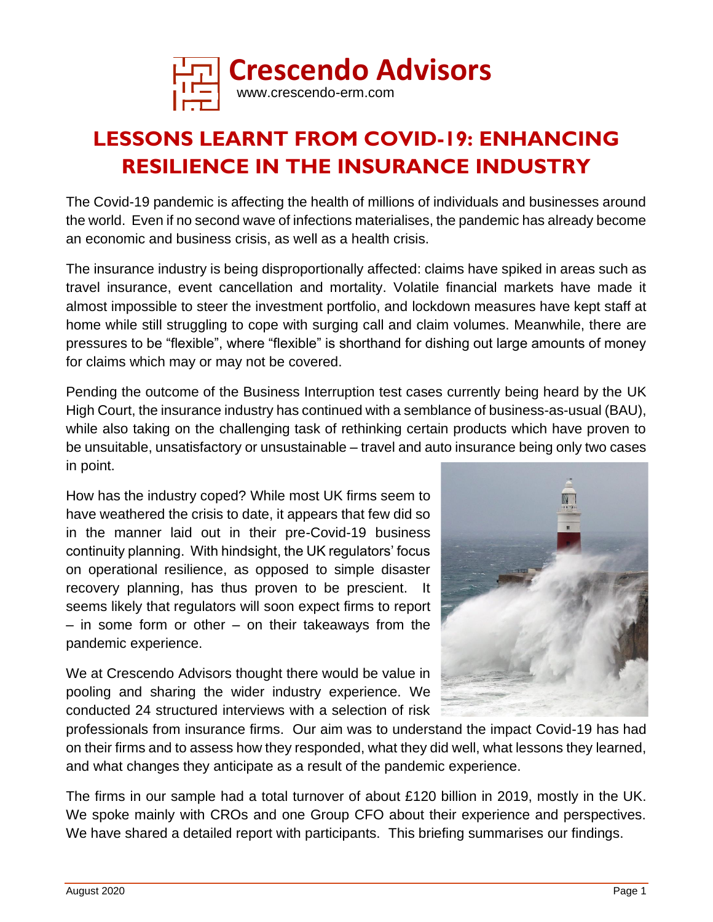

# **LESSONS LEARNT FROM COVID-19: ENHANCING RESILIENCE IN THE INSURANCE INDUSTRY**

The Covid-19 pandemic is affecting the health of millions of individuals and businesses around the world. Even if no second wave of infections materialises, the pandemic has already become an economic and business crisis, as well as a health crisis.

The insurance industry is being disproportionally affected: claims have spiked in areas such as travel insurance, event cancellation and mortality. Volatile financial markets have made it almost impossible to steer the investment portfolio, and lockdown measures have kept staff at home while still struggling to cope with surging call and claim volumes. Meanwhile, there are pressures to be "flexible", where "flexible" is shorthand for dishing out large amounts of money for claims which may or may not be covered.

Pending the outcome of the Business Interruption test cases currently being heard by the UK High Court, the insurance industry has continued with a semblance of business-as-usual (BAU), while also taking on the challenging task of rethinking certain products which have proven to be unsuitable, unsatisfactory or unsustainable – travel and auto insurance being only two cases in point.

How has the industry coped? While most UK firms seem to have weathered the crisis to date, it appears that few did so in the manner laid out in their pre-Covid-19 business continuity planning. With hindsight, the UK regulators' focus on operational resilience, as opposed to simple disaster recovery planning, has thus proven to be prescient. It seems likely that regulators will soon expect firms to report – in some form or other – on their takeaways from the pandemic experience.

We at Crescendo Advisors thought there would be value in pooling and sharing the wider industry experience. We conducted 24 structured interviews with a selection of risk



professionals from insurance firms. Our aim was to understand the impact Covid-19 has had on their firms and to assess how they responded, what they did well, what lessons they learned, and what changes they anticipate as a result of the pandemic experience.

The firms in our sample had a total turnover of about £120 billion in 2019, mostly in the UK. We spoke mainly with CROs and one Group CFO about their experience and perspectives. We have shared a detailed report with participants. This briefing summarises our findings.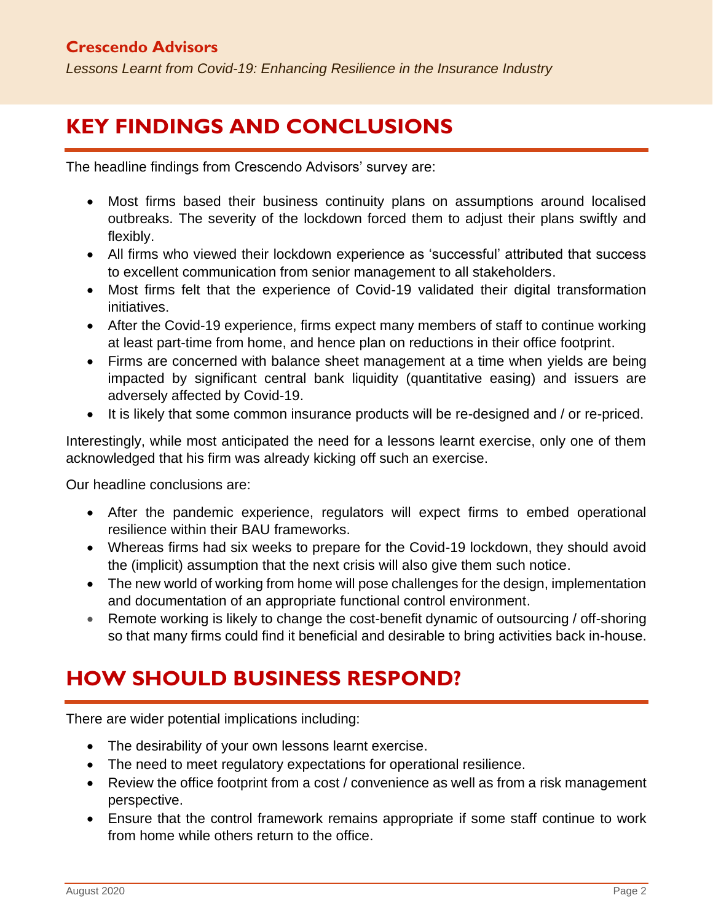*Lessons Learnt from Covid-19: Enhancing Resilience in the Insurance Industry*

## **KEY FINDINGS AND CONCLUSIONS**

The headline findings from Crescendo Advisors' survey are:

- Most firms based their business continuity plans on assumptions around localised outbreaks. The severity of the lockdown forced them to adjust their plans swiftly and flexibly.
- All firms who viewed their lockdown experience as 'successful' attributed that success to excellent communication from senior management to all stakeholders.
- Most firms felt that the experience of Covid-19 validated their digital transformation initiatives.
- After the Covid-19 experience, firms expect many members of staff to continue working at least part-time from home, and hence plan on reductions in their office footprint.
- Firms are concerned with balance sheet management at a time when yields are being impacted by significant central bank liquidity (quantitative easing) and issuers are adversely affected by Covid-19.
- It is likely that some common insurance products will be re-designed and / or re-priced.

Interestingly, while most anticipated the need for a lessons learnt exercise, only one of them acknowledged that his firm was already kicking off such an exercise.

Our headline conclusions are:

- After the pandemic experience, regulators will expect firms to embed operational resilience within their BAU frameworks.
- Whereas firms had six weeks to prepare for the Covid-19 lockdown, they should avoid the (implicit) assumption that the next crisis will also give them such notice.
- The new world of working from home will pose challenges for the design, implementation and documentation of an appropriate functional control environment.
- Remote working is likely to change the cost-benefit dynamic of outsourcing / off-shoring so that many firms could find it beneficial and desirable to bring activities back in-house.

# **HOW SHOULD BUSINESS RESPOND?**

There are wider potential implications including:

- The desirability of your own lessons learnt exercise.
- The need to meet regulatory expectations for operational resilience.
- Review the office footprint from a cost / convenience as well as from a risk management perspective.
- Ensure that the control framework remains appropriate if some staff continue to work from home while others return to the office.